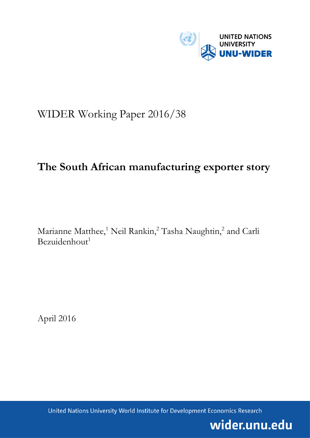

# WIDER Working Paper 2016/38

# **The South African manufacturing exporter story**

Marianne Matthee,<sup>1</sup> Neil Rankin,<sup>2</sup> Tasha Naughtin,<sup>2</sup> and Carli  $Bezuidenhout<sup>1</sup>$ 

April 2016

United Nations University World Institute for Development Economics Research

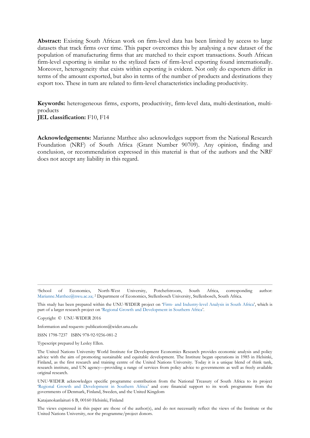**Abstract:** Existing South African work on firm-level data has been limited by access to large datasets that track firms over time. This paper overcomes this by analysing a new dataset of the population of manufacturing firms that are matched to their export transactions. South African firm-level exporting is similar to the stylized facts of firm-level exporting found internationally. Moreover, heterogeneity that exists within exporting is evident. Not only do exporters differ in terms of the amount exported, but also in terms of the number of products and destinations they export too. These in turn are related to firm-level characteristics including productivity.

**Keywords:** heterogeneous firms, exports, productivity, firm-level data, multi-destination, multiproducts **JEL classification:** F10, F14

**Acknowledgements:** Marianne Matthee also acknowledges support from the National Research Foundation (NRF) of South Africa (Grant Number 90709). Any opinion, finding and conclusion, or recommendation expressed in this material is that of the authors and the NRF does not accept any liability in this regard.

<sup>1</sup>School of Economics, North-West University, Potchefstroom, South Africa, corresponding author: [Marianne.Matthee@nwu.ac.za;](mailto:Marianne.Matthee@nwu.ac.za) <sup>2</sup> Department of Economics, Stellenbosch University, Stellenbosch, South Africa.

This study has been prepared within the UNU-WIDER project on 'Firm- [and Industry-level Analysis in South Africa](https://www.wider.unu.edu/node/481)', which is part of a larger research project on '[Regional Growth and Development in Southern Africa](https://www.wider.unu.edu/node/381)'.

Copyright © UNU-WIDER 2016

Information and requests: publications@wider.unu.edu

ISSN 1798-7237 ISBN 978-92-9256-081-2

Typescript prepared by Lesley Ellen.

The United Nations University World Institute for Development Economics Research provides economic analysis and policy advice with the aim of promoting sustainable and equitable development. The Institute began operations in 1985 in Helsinki, Finland, as the first research and training centre of the United Nations University. Today it is a unique blend of think tank, research institute, and UN agency—providing a range of services from policy advice to governments as well as freely available original research.

UNU-WIDER acknowledges specific programme contribution from the National Treasury of South Africa to its project 'Regional [Growth and Development in Southern Africa](https://www.wider.unu.edu/node/381)' and core financial support to its work programme from the governments of Denmark, Finland, Sweden, and the United Kingdom

Katajanokanlaituri 6 B, 00160 Helsinki, Finland

The views expressed in this paper are those of the author(s), and do not necessarily reflect the views of the Institute or the United Nations University, nor the programme/project donors.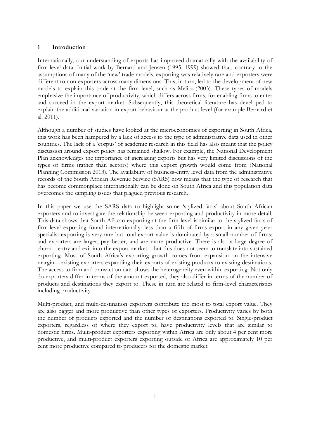# **1 Introduction**

Internationally, our understanding of exports has improved dramatically with the availability of firm-level data. Initial work by Bernard and Jensen (1995, 1999) showed that, contrary to the assumptions of many of the 'new' trade models, exporting was relatively rare and exporters were different to non-exporters across many dimensions. This, in turn, led to the development of new models to explain this trade at the firm level, such as Melitz (2003). These types of models emphasize the importance of productivity, which differs across firms, for enabling firms to enter and succeed in the export market. Subsequently, this theoretical literature has developed to explain the additional variation in export behaviour at the product level (for example Bernard et al. 2011).

Although a number of studies have looked at the microeconomics of exporting in South Africa, this work has been hampered by a lack of access to the type of administrative data used in other countries. The lack of a 'corpus' of academic research in this field has also meant that the policy discussion around export policy has remained shallow. For example, the National Development Plan acknowledges the importance of increasing exports but has very limited discussions of the types of firms (rather than sectors) where this export growth would come from (National Planning Commission 2013). The availability of business-entity level data from the administrative records of the South African Revenue Service (SARS) now means that the type of research that has become commonplace internationally can be done on South Africa and this population data overcomes the sampling issues that plagued previous research.

In this paper we use the SARS data to highlight some 'stylized facts' about South African exporters and to investigate the relationship between exporting and productivity in more detail. This data shows that South African exporting at the firm level is similar to the stylized facts of firm-level exporting found internationally: less than a fifth of firms export in any given year; specialist exporting is very rare but total export value is dominated by a small number of firms; and exporters are larger, pay better, and are more productive. There is also a large degree of churn—entry and exit into the export market—but this does not seem to translate into sustained exporting. Most of South Africa's exporting growth comes from expansion on the intensive margin—existing exporters expanding their exports of existing products to existing destinations. The access to firm and transaction data shows the heterogeneity even within exporting. Not only do exporters differ in terms of the amount exported, they also differ in terms of the number of products and destinations they export to. These in turn are related to firm-level characteristics including productivity.

Multi-product, and multi-destination exporters contribute the most to total export value. They are also bigger and more productive than other types of exporters. Productivity varies by both the number of products exported and the number of destinations exported to. Single-product exporters, regardless of where they export to, have productivity levels that are similar to domestic firms. Multi-product exporters exporting within Africa are only about 4 per cent more productive, and multi-product exporters exporting outside of Africa are approximately 10 per cent more productive compared to producers for the domestic market.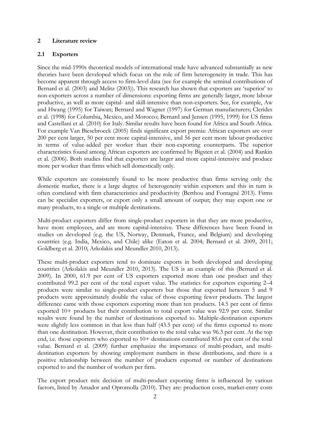#### **2 Literature review**

#### **2.1 Exporters**

Since the mid-1990s theoretical models of international trade have advanced substantially as new theories have been developed which focus on the role of firm heterogeneity in trade. This has become apparent through access to firm-level data (see for example the seminal contributions of Bernard et al. (2003) and Melitz (2003)). This research has shown that exporters are 'superior' to non-exporters across a number of dimensions: exporting firms are generally larger, more labour productive, as well as more capital- and skill-intensive than non-exporters. See, for example, Aw and Hwang (1995) for Taiwan; Bernard and Wagner (1997) for German manufacturers; Clerides et al. (1998) for Columbia, Mexico, and Morocco; Bernard and Jensen (1995, 1999) for US firms and Castellani et al. (2010) for Italy. Similar results have been found for Africa and South Africa. For example Van Biesebroeck (2005) finds significant export premia: African exporters are over 200 per cent larger, 50 per cent more capital-intensive, and 56 per cent more labour-productive in terms of value-added per worker than their non-exporting counterparts. The superior characteristics found among African exporters are confirmed by Bigsten et al. (2004) and Rankin et al. (2006). Both studies find that exporters are larger and more capital-intensive and produce more per worker than firms which sell domestically only.

While exporters are consistently found to be more productive than firms serving only the domestic market, there is a large degree of heterogeneity within exporters and this in turn is often correlated with firm characteristics and productivity (Berthou and Fontagné 2013). Firms can be specialist exporters, or export only a small amount of output; they may export one or many products, to a single or multiple destinations.

Multi-product exporters differ from single-product exporters in that they are more productive, have more employees, and are more capital-intensive. These differences have been found in studies on developed (e.g. the US, Norway, Denmark, France, and Belgium) and developing countries (e.g. India, Mexico, and Chile) alike (Eaton et al. 2004; Bernard et al. 2009, 2011; Goldberg et al. 2010; Arkolakis and Meundler 2010, 2013).

These multi-product exporters tend to dominate exports in both developed and developing countries (Arkolakis and Meundler 2010, 2013). The US is an example of this (Bernard et al. 2009). In 2000, 61.9 per cent of US exporters exported more than one product and they contributed 99.2 per cent of the total export value. The statistics for exporters exporting 2–4 products were similar to single-product exporters but those that exported between 5 and 9 products were approximately double the value of those exporting fewer products. The largest difference came with those exporters exporting more than ten products. 14.5 per cent of firms exported 10+ products but their contribution to total export value was 92.9 per cent. Similar results were found by the number of destinations exported to. Multiple-destination exporters were slightly less common in that less than half (43.5 per cent) of the firms exported to more than one destination. However, their contribution to the total value was 96.3 per cent. At the top end, i.e. those exporters who exported to 10+ destinations contributed 85.6 per cent of the total value. Bernard et al. (2009) further emphasize the importance of multi-product, and multidestination exporters by showing employment numbers in these distributions, and there is a positive relationship between the number of products exported or number of destinations exported to and the number of workers per firm.

The export product mix decision of multi-product exporting firms is influenced by various factors, listed by Amador and Opromolla (2010). They are: production costs, market-entry costs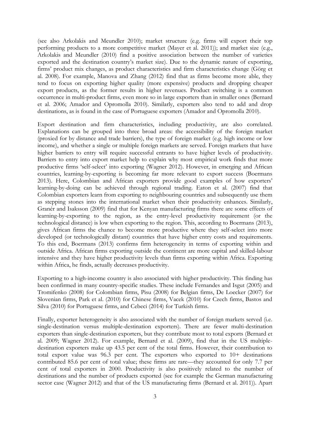(see also Arkolakis and Meundler 2010); market structure (e.g. firms will export their top performing products to a more competitive market (Mayer et al. 2011)); and market size (e.g., Arkolakis and Meundler (2010) find a positive association between the number of varieties exported and the destination country's market size). Due to the dynamic nature of exporting, firms' product mix changes, as product characteristics and firm characteristics change (Görg et al. 2008). For example, Manova and Zhang (2012) find that as firms become more able, they tend to focus on exporting higher quality (more expensive) products and dropping cheaper export products, as the former results in higher revenues. Product switching is a common occurrence in multi-product firms, even more so in large exporters than in smaller ones (Bernard et al. 2006; Amador and Opromolla 2010). Similarly, exporters also tend to add and drop destinations, as is found in the case of Portuguese exporters (Amador and Opromolla 2010).

Export destination and firm characteristics, including productivity, are also correlated. Explanations can be grouped into three broad areas: the accessibility of the foreign market (proxied for by distance and trade barriers), the type of foreign market (e.g. high income or low income), and whether a single or multiple foreign markets are served. Foreign markets that have higher barriers to entry will require successful entrants to have higher levels of productivity. Barriers to entry into export market help to explain why most empirical work finds that more productive firms 'self-select' into exporting (Wagner 2012). However, in emerging and African countries, learning-by-exporting is becoming far more relevant to export success (Boermans 2013). Here, Colombian and African exporters provide good examples of how exporters' learning-by-doing can be achieved through regional trading. Eaton et al. (2007) find that Colombian exporters learn from exporting to neighbouring countries and subsequently use them as stepping stones into the international market when their productivity enhances. Similarly, Granér and Isaksson (2009) find that for Kenyan manufacturing firms there are some effects of learning-by-exporting to the region, as the entry-level productivity requirement (or the technological distance) is low when exporting to the region. This, according to Boermans (2013), gives African firms the chance to become more productive where they self-select into more developed (or technologically distant) countries that have higher entry costs and requirements. To this end, Boermans (2013) confirms firm heterogeneity in terms of exporting within and outside Africa. African firms exporting outside the continent are more capital and skilled-labour intensive and they have higher productivity levels than firms exporting within Africa. Exporting within Africa, he finds, actually decreases productivity.

Exporting to a high-income country is also associated with higher productivity. This finding has been confirmed in many country-specific studies. These include Fernandes and Isgut (2005) and Tromifenko (2008) for Colombian firms, Pisu (2008) for Belgian firms, De Loecker (2007) for Slovenian firms, Park et al. (2010) for Chinese firms, Vacek (2010) for Czech firms, Bastos and Silva (2010) for Portuguese firms, and Cebeci (2014) for Turkish firms.

Finally, exporter heterogeneity is also associated with the number of foreign markets served (i.e. single-destination versus multiple-destination exporters). There are fewer multi-destination exporters than single-destination exporters, but they contribute most to total exports (Bernard et al. 2009; Wagner 2012). For example, Bernard et al. (2009), find that in the US multipledestination exporters make up 43.5 per cent of the total firms. However, their contribution to total export value was 96.3 per cent. The exporters who exported to 10+ destinations contributed 85.6 per cent of total value; these firms are rare—they accounted for only 7.7 per cent of total exporters in 2000. Productivity is also positively related to the number of destinations and the number of products exported (see for example the German manufacturing sector case (Wagner 2012) and that of the US manufacturing firms (Bernard et al. 2011)). Apart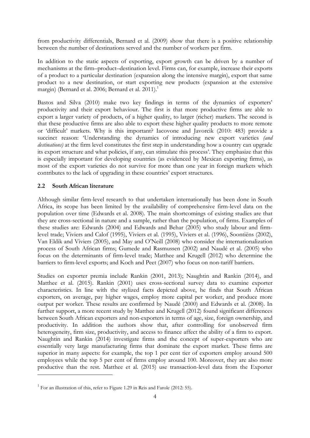from productivity differentials, Bernard et al. (2009) show that there is a positive relationship between the number of destinations served and the number of workers per firm.

In addition to the static aspects of exporting, export growth can be driven by a number of mechanisms at the firm–product–destination level. Firms can, for example, increase their exports of a product to a particular destination (expansion along the intensive margin), export that same product to a new destination, or start exporting new products (expansion at the extensive margin) (Bernard et al. 2006; Bernard et al. 2011). 1

Bastos and Silva (2010) make two key findings in terms of the dynamics of exporters' productivity and their export behaviour. The first is that more productive firms are able to export a larger variety of products, of a higher quality, to larger (richer) markets. The second is that these productive firms are also able to export these higher quality products to more remote or 'difficult' markets. Why is this important? Iacovone and Javorcik (2010: 483) provide a succinct reason: 'Understanding the dynamics of introducing new export varieties *(and destinations)* at the firm level constitutes the first step in understanding how a country can upgrade its export structure and what policies, if any, can stimulate this process'. They emphasize that this is especially important for developing countries (as evidenced by Mexican exporting firms), as most of the export varieties do not survive for more than one year in foreign markets which contributes to the lack of upgrading in these countries' export structures.

# **2.2 South African literature**

-

Although similar firm-level research to that undertaken internationally has been done in South Africa, its scope has been limited by the availability of comprehensive firm-level data on the population over time (Edwards et al. 2008). The main shortcomings of existing studies are that they are cross-sectional in nature and a sample, rather than the population, of firms. Examples of these studies are: Edwards (2004) and Edwards and Behar (2005) who study labour and firmlevel trade; Viviers and Calof (1995), Viviers et al. (1995), Viviers et al. (1996), Soontiëns (2002), Van Eldik and Viviers (2005), and May and O'Neill (2008) who consider the internationalization process of South African firms; Gumede and Rasmussen (2002) and Naudé et al. (2005) who focus on the determinants of firm-level trade; Matthee and Krugell (2012) who determine the barriers to firm-level exports; and Koch and Peet (2007) who focus on non-tariff barriers.

Studies on exporter premia include Rankin (2001, 2013); Naughtin and Rankin (2014), and Matthee et al. (2015). Rankin (2001) uses cross-sectional survey data to examine exporter characteristics. In line with the stylized facts depicted above, he finds that South African exporters, on average, pay higher wages, employ more capital per worker, and produce more output per worker. These results are confirmed by Naudé (2000) and Edwards et al. (2008). In further support, a more recent study by Matthee and Krugell (2012) found significant differences between South African exporters and non-exporters in terms of age, size, foreign ownership, and productivity. In addition the authors show that, after controlling for unobserved firm heterogeneity, firm size, productivity, and access to finance affect the ability of a firm to export. Naughtin and Rankin (2014) investigate firms and the concept of super-exporters who are essentially very large manufacturing firms that dominate the export market. These firms are superior in many aspects: for example, the top 1 per cent tier of exporters employ around 500 employees while the top 5 per cent of firms employ around 100. Moreover, they are also more productive than the rest. Matthee et al. (2015) use transaction-level data from the Exporter

<sup>&</sup>lt;sup>1</sup> For an illustration of this, refer to Figure 1.29 in Reis and Farole (2012: 55).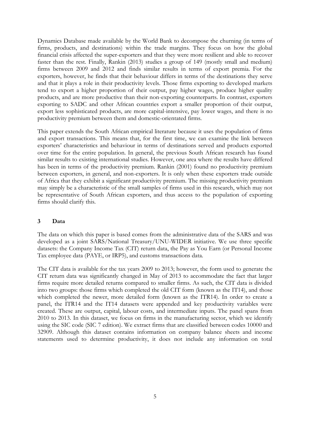Dynamics Database made available by the World Bank to decompose the churning (in terms of firms, products, and destinations) within the trade margins. They focus on how the global financial crisis affected the super-exporters and that they were more resilient and able to recover faster than the rest. Finally, Rankin (2013) studies a group of 149 (mostly small and medium) firms between 2009 and 2012 and finds similar results in terms of export premia. For the exporters, however, he finds that their behaviour differs in terms of the destinations they serve and that it plays a role in their productivity levels. Those firms exporting to developed markets tend to export a higher proportion of their output, pay higher wages, produce higher quality products, and are more productive than their non-exporting counterparts. In contrast, exporters exporting to SADC and other African countries export a smaller proportion of their output, export less sophisticated products, are more capital-intensive, pay lower wages, and there is no productivity premium between them and domestic-orientated firms.

This paper extends the South African empirical literature because it uses the population of firms and export transactions. This means that, for the first time, we can examine the link between exporters' characteristics and behaviour in terms of destinations served and products exported over time for the entire population. In general, the previous South African research has found similar results to existing international studies. However, one area where the results have differed has been in terms of the productivity premium. Rankin (2001) found no productivity premium between exporters, in general, and non-exporters. It is only when these exporters trade outside of Africa that they exhibit a significant productivity premium. The missing productivity premium may simply be a characteristic of the small samples of firms used in this research, which may not be representative of South African exporters, and thus access to the population of exporting firms should clarify this.

#### **3 Data**

The data on which this paper is based comes from the administrative data of the SARS and was developed as a joint SARS/National Treasury/UNU-WIDER initiative. We use three specific datasets: the Company Income Tax (CIT) return data, the Pay as You Earn (or Personal Income Tax employee data (PAYE, or IRP5), and customs transactions data.

The CIT data is available for the tax years 2009 to 2013; however, the form used to generate the CIT return data was significantly changed in May of 2013 to accommodate the fact that larger firms require more detailed returns compared to smaller firms. As such, the CIT data is divided into two groups: those firms which completed the old CIT form (known as the IT14), and those which completed the newer, more detailed form (known as the ITR14). In order to create a panel, the ITR14 and the IT14 datasets were appended and key productivity variables were created. These are output, capital, labour costs, and intermediate inputs. The panel spans from 2010 to 2013. In this dataset, we focus on firms in the manufacturing sector, which we identify using the SIC code (SIC 7 edition). We extract firms that are classified between codes 10000 and 32909. Although this dataset contains information on company balance sheets and income statements used to determine productivity, it does not include any information on total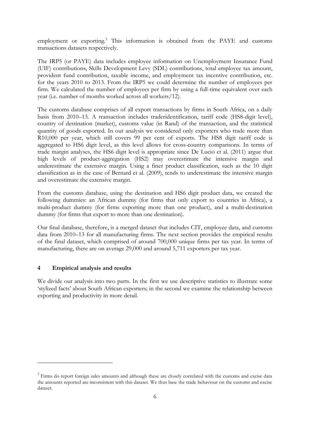employment or exporting.<sup>2</sup> This information is obtained from the PAYE and customs transactions datasets respectively.

The IRP5 (or PAYE) data includes employee information on Unemployment Insurance Fund (UIF) contributions, Skills Development Levy (SDL) contributions, total employee tax amount, provident fund contribution, taxable income, and employment tax incentive contribution, etc. for the years 2010 to 2013. From the IRP5 we could determine the number of employees per firm. We calculated the number of employees per firm by using a full-time equivalent over each year (i.e. number of months worked across all workers/12).

The customs database comprises of all export transactions by firms in South Africa, on a daily basis from 2010–13. A transaction includes traderidentification, tariff code (HS8-digit level), country of destination (market), customs value (in Rand) of the transaction, and the statistical quantity of goods exported. In our analysis we considered only exporters who trade more than R10,000 per year, which still covers 99 per cent of exports. The HS8 digit tariff code is aggregated to HS6 digit level, as this level allows for cross-country comparisons. In terms of trade margin analyses, the HS6 digit level is appropriate since De Lucio et al. (2011) argue that high levels of product-aggregation (HS2) may overestimate the intensive margin and underestimate the extensive margin. Using a finer product classification, such as the 10 digit classification as in the case of Bernard et al. (2009), tends to underestimate the intensive margin and overestimate the extensive margin.

From the customs database, using the destination and HS6 digit product data, we created the following dummies: an African dummy (for firms that only export to countries in Africa), a multi-product dummy (for firms exporting more than one product), and a multi-destination dummy (for firms that export to more than one destination).

Our final database, therefore, is a merged dataset that includes CIT, employee data, and customs data from 2010–13 for all manufacturing firms. The next section provides the empirical results of the final dataset, which comprised of around 700,000 unique firms per tax year. In terms of manufacturing, there are on average 29,000 and around 5,711 exporters per tax year.

#### **4 Empirical analysis and results**

-

We divide our analysis into two parts. In the first we use descriptive statistics to illustrate some 'stylized facts' about South African exporters; in the second we examine the relationship between exporting and productivity in more detail.

<sup>&</sup>lt;sup>2</sup> Firms do report foreign sales amounts and although these are closely correlated with the customs and excise data the amounts reported are inconsistent with this dataset. We thus base the trade behaviour on the customs and excise dataset.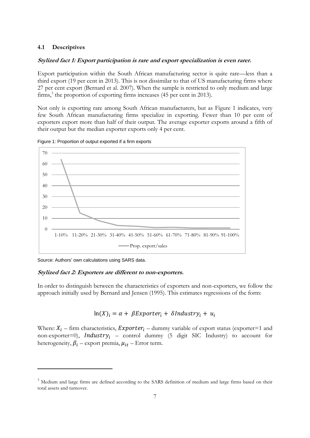## **4.1 Descriptives**

### **Stylized fact 1: Export participation is rare and export specialization is even rarer.**

Export participation within the South African manufacturing sector is quite rare—less than a third export (19 per cent in 2013). This is not dissimilar to that of US manufacturing firms where 27 per cent export (Bernard et al. 2007). When the sample is restricted to only medium and large firms,<sup>3</sup> the proportion of exporting firms increases (45 per cent in 2013).

Not only is exporting rare among South African manufacturers, but as Figure 1 indicates, very few South African manufacturing firms specialize in exporting. Fewer than 10 per cent of exporters export more than half of their output. The average exporter exports around a fifth of their output but the median exporter exports only 4 per cent.



Figure 1: Proportion of output exported if a firm exports

Source: Authors' own calculations using SARS data.

-

#### **Stylized fact 2: Exporters are different to non-exporters.**

In order to distinguish between the characteristics of exporters and non-exporters, we follow the approach initially used by Bernard and Jensen (1995). This estimates regressions of the form:

# $ln(X)_i = \alpha + \beta Exporter_i + \delta Industry_i + u_i$

Where:  $X_i$  – firm characteristics, *Exporter<sub>i</sub>* – dummy variable of export status (exporter=1 and non-exporter=0), *Industry<sub>i</sub>* – control dummy (5 digit SIC Industry) to account for heterogeneity,  $\beta_i$  – export premia,  $\mu_{it}$  – Error term.

<sup>&</sup>lt;sup>3</sup> Medium and large firms are defined according to the SARS definition of medium and large firms based on their total assets and turnover.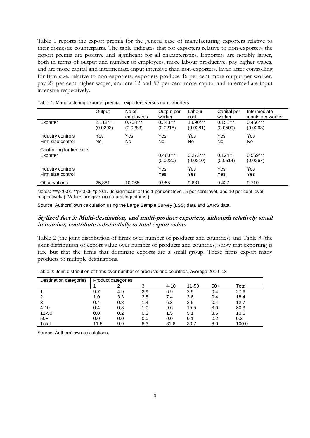Table 1 reports the export premia for the general case of manufacturing exporters relative to their domestic counterparts. The table indicates that for exporters relative to non-exporters the export premia are positive and significant for all characteristics. Exporters are notably larger, both in terms of output and number of employees, more labour productive, pay higher wages, and are more capital and intermediate-input intensive than non-exporters. Even after controlling for firm size, relative to non-exporters, exporters produce 46 per cent more output per worker, pay 27 per cent higher wages, and are 12 and 57 per cent more capital and intermediate-input intensive respectively.

|                                        | Output                 | No of<br>employees     | Output per<br>worker   | Labour<br>cost         | Capital per<br>worker  | Intermediate<br>inputs per worker |
|----------------------------------------|------------------------|------------------------|------------------------|------------------------|------------------------|-----------------------------------|
| Exporter                               | $2.118***$<br>(0.0293) | $0.708***$<br>(0.0283) | $0.343***$<br>(0.0218) | $1.690***$<br>(0.0281) | $0.151***$<br>(0.0500) | $0.466***$<br>(0.0263)            |
| Industry controls<br>Firm size control | Yes<br>No              | Yes<br>No              | Yes<br>No              | Yes<br>No.             | Yes<br>No.             | Yes<br>No.                        |
| Controlling for firm size<br>Exporter  |                        |                        | $0.460***$<br>(0.0220) | $0.273***$<br>(0.0210) | $0.124**$<br>(0.0514)  | $0.569***$<br>(0.0267)            |
| Industry controls<br>Firm size control |                        |                        | Yes<br>Yes             | Yes<br>Yes             | Yes<br>Yes             | Yes<br>Yes                        |
| <b>Observations</b>                    | 25.881                 | 10.065                 | 9,955                  | 9,681                  | 9,427                  | 9,710                             |

Table 1: Manufacturing exporter premia—exporters versus non-exporters

Notes: \*\*\*p<0.01 \*\*p<0.05 \*p<0.1. (Is significant at the 1 per cent level, 5 per cent level, and 10 per cent level respectively.) (Values are given in natural logarithms.)

Source: Authors' own calculation using the Large Sample Survey (LSS) data and SARS data.

#### **Stylized fact 3: Multi-destination, and multi-product exporters, although relatively small in number, contribute substantially to total export value.**

Table 2 (the joint distribution of firms over number of products and countries) and Table 3 (the joint distribution of export value over number of products and countries) show that exporting is rare but that the firms that dominate exports are a small group. These firms export many products to multiple destinations.

| Destination categories |      | Product categories |     |          |       |       |       |  |  |  |
|------------------------|------|--------------------|-----|----------|-------|-------|-------|--|--|--|
|                        |      |                    |     | $4 - 10$ | 11-50 | $50+$ | Total |  |  |  |
|                        | 9.7  | 4.9                | 2.9 | 6.9      | 2.9   | 0.4   | 27.6  |  |  |  |
| 2                      | 1.0  | 3.3                | 2.8 | 7.4      | 3.6   | 0.4   | 18.4  |  |  |  |
| 3                      | 0.4  | 0.8                | 1.4 | 6.3      | 3.5   | 0.4   | 12.7  |  |  |  |
| $4 - 10$               | 0.4  | 0.8                | 1.0 | 9.6      | 15.5  | 3.0   | 30.3  |  |  |  |
| $11 - 50$              | 0.0  | 0.2                | 0.2 | 1.5      | 5.1   | 3.6   | 10.6  |  |  |  |
| $50+$                  | 0.0  | 0.0                | 0.0 | 0.0      | 0.1   | 0.2   | 0.3   |  |  |  |
| Total                  | 11.5 | 9.9                | 8.3 | 31.6     | 30.7  | 8.0   | 100.0 |  |  |  |

Table 2: Joint distribution of firms over number of products and countries, average 2010–13

Source: Authors' own calculations.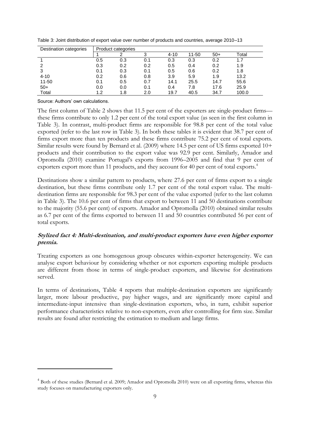| Destination categories | Product categories |     |     |          |       |       |       |  |  |
|------------------------|--------------------|-----|-----|----------|-------|-------|-------|--|--|
|                        |                    |     |     | $4 - 10$ | 11-50 | $50+$ | Total |  |  |
|                        | 0.5                | 0.3 | 0.1 | 0.3      | 0.3   | 0.2   |       |  |  |
|                        | 0.3                | 0.2 | 0.2 | 0.5      | 0.4   | 0.2   | 1.9   |  |  |
|                        | 0.1                | 0.3 | 0.1 | 0.5      | 0.6   | 0.2   | 1.8   |  |  |
| $4 - 10$               | 0.2                | 0.6 | 0.8 | 3.9      | 5.9   | 1.9   | 13.2  |  |  |
| $11 - 50$              | 0.1                | 0.5 | 0.7 | 14.1     | 25.5  | 14.7  | 55.6  |  |  |
| $50+$                  | 0.0                | 0.0 | 0.1 | 0.4      | 7.8   | 17.6  | 25.9  |  |  |
| Total                  | 1.2                | 1.8 | 2.0 | 19.7     | 40.5  | 34.7  | 100.0 |  |  |

Table 3: Joint distribution of export value over number of products and countries, average 2010–13

Source: Authors' own calculations.

-

The first column of Table 2 shows that 11.5 per cent of the exporters are single-product firms these firms contribute to only 1.2 per cent of the total export value (as seen in the first column in Table 3). In contrast, multi-product firms are responsible for 98.8 per cent of the total value exported (refer to the last row in Table 3). In both these tables it is evident that 38.7 per cent of firms export more than ten products and these firms contribute 75.2 per cent of total exports. Similar results were found by Bernard et al. (2009) where 14.5 per cent of US firms exported 10+ products and their contribution to the export value was 92.9 per cent. Similarly, Amador and Opromolla (2010) examine Portugal's exports from 1996–2005 and find that 9 per cent of exporters export more than 11 products, and they account for 40 per cent of total exports. 4

Destinations show a similar pattern to products, where 27.6 per cent of firms export to a single destination, but these firms contribute only 1.7 per cent of the total export value. The multidestination firms are responsible for 98.3 per cent of the value exported (refer to the last column in Table 3). The 10.6 per cent of firms that export to between 11 and 50 destinations contribute to the majority (55.6 per cent) of exports. Amador and Opromolla (2010) obtained similar results as 6.7 per cent of the firms exported to between 11 and 50 countries contributed 56 per cent of total exports.

# **Stylized fact 4: Multi-destination, and multi-product exporters have even higher exporter premia.**

Treating exporters as one homogenous group obscures within-exporter heterogeneity. We can analyse export behaviour by considering whether or not exporters exporting multiple products are different from those in terms of single-product exporters, and likewise for destinations served.

In terms of destinations, Table 4 reports that multiple-destination exporters are significantly larger, more labour productive, pay higher wages, and are significantly more capital and intermediate-input intensive than single-destination exporters, who, in turn, exhibit superior performance characteristics relative to non-exporters, even after controlling for firm size. Similar results are found after restricting the estimation to medium and large firms.

<sup>&</sup>lt;sup>4</sup> Both of these studies (Bernard et al. 2009; Amador and Opromolla 2010) were on all exporting firms, whereas this study focuses on manufacturing exporters only.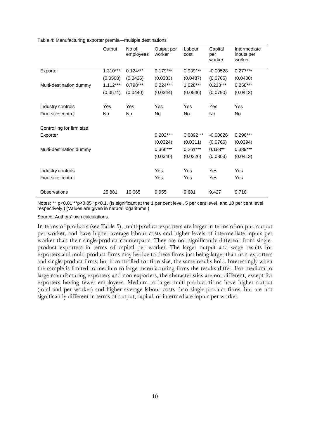|  |  |  | Table 4: Manufacturing exporter premia-multiple destinations |
|--|--|--|--------------------------------------------------------------|
|  |  |  |                                                              |

|                                        | Output     | No of<br>employees | Output per<br>worker | Labour<br>cost | Capital<br>per<br>worker | Intermediate<br>inputs per<br>worker |
|----------------------------------------|------------|--------------------|----------------------|----------------|--------------------------|--------------------------------------|
| Exporter                               | $1.310***$ | $0.124***$         | $0.179***$           | $0.939***$     | $-0.00528$               | $0.277***$                           |
|                                        | (0.0508)   | (0.0426)           | (0.0333)             | (0.0487)       | (0.0765)                 | (0.0400)                             |
| Multi-destination dummy                | $1.112***$ | $0.798***$         | $0.224***$           | $1.028***$     | $0.213***$               | $0.258***$                           |
|                                        | (0.0574)   | (0.0440)           | (0.0344)             | (0.0546)       | (0.0790)                 | (0.0413)                             |
|                                        |            |                    |                      |                |                          |                                      |
| Industry controls                      | <b>Yes</b> | Yes                | Yes                  | Yes            | Yes                      | Yes                                  |
| Firm size control                      | No.        | No                 | No                   | No.            | No                       | No.                                  |
| Controlling for firm size<br>Exporter  |            |                    | $0.202***$           | 0.0892***      | $-0.00826$               | $0.296***$                           |
|                                        |            |                    | (0.0324)             | (0.0311)       | (0.0766)                 | (0.0394)                             |
| Multi-destination dummy                |            |                    | 0.366***             | $0.261***$     | $0.188**$                | $0.389***$                           |
|                                        |            |                    | (0.0340)             | (0.0326)       | (0.0803)                 | (0.0413)                             |
| Industry controls<br>Firm size control |            |                    | Yes<br>Yes           | Yes<br>Yes     | Yes<br>Yes               | Yes<br>Yes                           |
| Observations                           | 25,881     | 10,065             | 9,955                | 9,681          | 9,427                    | 9,710                                |

Notes: \*\*\*p<0.01 \*\*p<0.05 \*p<0.1. (Is significant at the 1 per cent level, 5 per cent level, and 10 per cent level respectively.) (Values are given in natural logarithms.)

Source: Authors' own calculations.

In terms of products (see Table 5), multi-product exporters are larger in terms of output, output per worker, and have higher average labour costs and higher levels of intermediate inputs per worker than their single-product counterparts. They are not significantly different from singleproduct exporters in terms of capital per worker. The larger output and wage results for exporters and multi-product firms may be due to these firms just being larger than non-exporters and single-product firms, but if controlled for firm size, the same results hold. Interestingly when the sample is limited to medium to large manufacturing firms the results differ. For medium to large manufacturing exporters and non-exporters, the characteristics are not different, except for exporters having fewer employees. Medium to large multi-product firms have higher output (total and per worker) and higher average labour costs than single-product firms, but are not significantly different in terms of output, capital, or intermediate inputs per worker.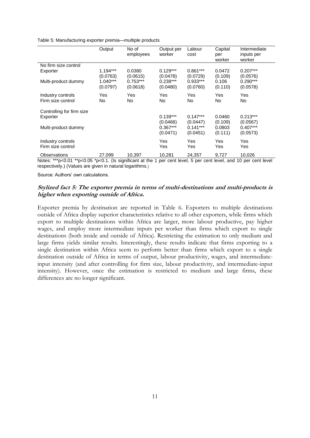Table 5: Manufacturing exporter premia—multiple products

|                                        | Output                           | No of<br>employees                 | Output per<br>worker               | Labour<br>cost                     | Capital<br>per<br>worker    | Intermediate<br>inputs per<br>worker |
|----------------------------------------|----------------------------------|------------------------------------|------------------------------------|------------------------------------|-----------------------------|--------------------------------------|
| No firm size control                   |                                  |                                    |                                    |                                    |                             |                                      |
| Exporter                               | $1.194***$                       | 0.0380                             | $0.129***$                         | $0.861***$                         | 0.0472                      | $0.207***$                           |
| Multi-product dummy                    | (0.0763)<br>1.040***<br>(0.0797) | (0.0615)<br>$0.753***$<br>(0.0618) | (0.0478)<br>$0.238***$<br>(0.0480) | (0.0729)<br>$0.933***$<br>(0.0760) | (0.109)<br>0.106<br>(0.110) | (0.0576)<br>$0.290***$<br>(0.0578)   |
| Industry controls                      | Yes                              | Yes                                | Yes                                | Yes                                | Yes                         | Yes                                  |
| Firm size control                      | No                               | No                                 | No                                 | No.                                | No                          | No                                   |
| Controlling for firm size<br>Exporter  |                                  |                                    | $0.139***$<br>(0.0466)             | $0.147***$<br>(0.0447)             | 0.0460<br>(0.109)           | $0.213***$<br>(0.0567)               |
| Multi-product dummy                    |                                  |                                    | $0.367***$                         | $0.141***$                         | 0.0803                      | $0.407***$                           |
|                                        |                                  |                                    | (0.0471)                           | (0.0451)                           | (0.111)                     | (0.0573)                             |
| Industry controls<br>Firm size control |                                  |                                    | <b>Yes</b><br>Yes                  | Yes<br>Yes                         | Yes<br>Yes                  | Yes<br>Yes                           |
| Observations                           | 27,099                           | 10,397                             | 10,281                             | 24,357                             | 9,727                       | 10,026                               |

Notes: \*\*\*p<0.01 \*\*p<0.05 \*p<0.1. (Is significant at the 1 per cent level, 5 per cent level, and 10 per cent level respectively.) (Values are given in natural logarithms.)

Source: Authors' own calculations.

# **Stylized fact 5: The exporter premia in terms of multi-destinations and multi-products is higher when exporting outside of Africa.**

Exporter premia by destination are reported in Table 6. Exporters to multiple destinations outside of Africa display superior characteristics relative to all other exporters, while firms which export to multiple destinations within Africa are larger, more labour productive, pay higher wages, and employ more intermediate inputs per worker than firms which export to single destinations (both inside and outside of Africa). Restricting the estimation to only medium and large firms yields similar results. Interestingly, these results indicate that firms exporting to a single destination within Africa seem to perform better than firms which export to a single destination outside of Africa in terms of output, labour productivity, wages, and intermediateinput intensity (and after controlling for firm size, labour productivity, and intermediate-input intensity). However, once the estimation is restricted to medium and large firms, these differences are no longer significant.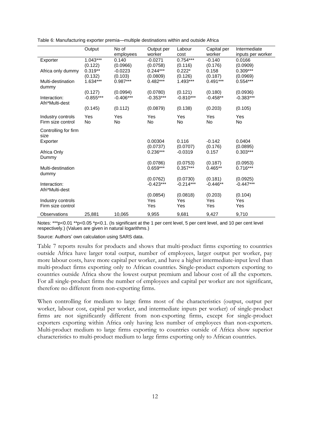|                                        | Output                 | No of<br>employees      | Output per<br>worker    | Labour<br>cost          | Capital per<br>worker | Intermediate<br>inputs per worker |
|----------------------------------------|------------------------|-------------------------|-------------------------|-------------------------|-----------------------|-----------------------------------|
| Exporter                               | $1.043***$<br>(0.122)  | 0.140<br>(0.0966)       | $-0.0271$<br>(0.0758)   | $0.754***$<br>(0.116)   | $-0.140$<br>(0.176)   | 0.0166<br>(0.0909)                |
| Africa only dummy                      | $0.319**$<br>(0.132)   | $-0.0223$<br>(0.103)    | $0.244***$<br>(0.0809)  | $0.222*$<br>(0.126)     | 0.158<br>(0.187)      | $0.309***$<br>(0.0969)            |
| Multi-destination<br>dummy             | 1.634***               | $0.987***$              | $0.482***$              | $1.493***$              | $0.491***$            | $0.554***$                        |
| Interaction:                           | (0.127)<br>$-0.855***$ | (0.0994)<br>$-0.406***$ | (0.0780)<br>$-0.353***$ | (0.121)<br>$-0.810***$  | (0.180)<br>$-0.458**$ | (0.0936)<br>$-0.383***$           |
| Afri*Multi-dest                        | (0.145)                | (0.112)                 | (0.0879)                | (0.138)                 | (0.203)               | (0.105)                           |
|                                        |                        |                         |                         |                         |                       |                                   |
| Industry controls<br>Firm size control | Yes<br>No              | Yes<br>No               | Yes<br>No               | Yes<br>No               | Yes<br><b>No</b>      | Yes<br>No                         |
| Controlling for firm<br>size           |                        |                         |                         |                         |                       |                                   |
| Exporter                               |                        |                         | 0.00304<br>(0.0737)     | 0.116<br>(0.0707)       | $-0.142$<br>(0.176)   | 0.0404<br>(0.0895)                |
| Africa Only<br>Dummy                   |                        |                         | $0.236***$              | $-0.0319$               | 0.157                 | $0.303***$                        |
|                                        |                        |                         | (0.0786)                | (0.0753)                | (0.187)               | (0.0953)                          |
| Multi-destination<br>dummy             |                        |                         | $0.659***$              | $0.357***$              | $0.465**$             | $0.716***$                        |
| Interaction:                           |                        |                         | (0.0762)<br>$-0.423***$ | (0.0730)<br>$-0.214***$ | (0.181)<br>$-0.446**$ | (0.0925)<br>$-0.447***$           |
| Afri*Multi-dest                        |                        |                         | (0.0854)                | (0.0818)                | (0.203)               | (0.104)                           |
| Industry controls<br>Firm size control |                        |                         | Yes<br>Yes              | Yes<br>Yes              | Yes<br>Yes            | Yes<br>Yes                        |
| Observations                           | 25,881                 | 10,065                  | 9,955                   | 9,681                   | 9,427                 | 9,710                             |

Table 6: Manufacturing exporter premia—multiple destinations within and outside Africa

Notes: \*\*\*p<0.01 \*\*p<0.05 \*p<0.1. (Is significant at the 1 per cent level, 5 per cent level, and 10 per cent level respectively.) (Values are given in natural logarithms.)

Source: Authors' own calculation using SARS data.

Table 7 reports results for products and shows that multi-product firms exporting to countries outside Africa have larger total output, number of employees, larger output per worker, pay more labour costs, have more capital per worker, and have a higher intermediate-input level than multi-product firms exporting only to African countries. Single-product exporters exporting to countries outside Africa show the lowest output premium and labour cost of all the exporters. For all single-product firms the number of employees and capital per worker are not significant, therefore no different from non-exporting firms.

When controlling for medium to large firms most of the characteristics (output, output per worker, labour cost, capital per worker, and intermediate inputs per worker) of single-product firms are not significantly different from non-exporting firms, except for single-product exporters exporting within Africa only having less number of employees than non-exporters. Multi-product medium to large firms exporting to countries outside of Africa show superior characteristics to multi-product medium to large firms exporting only to African countries.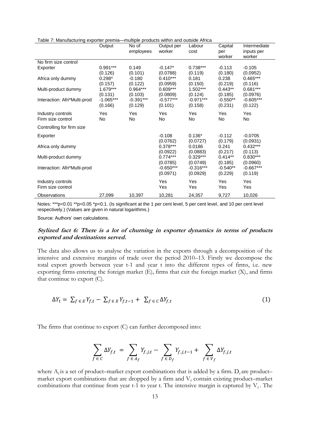|                              | Output      | No of<br>employees | Output per<br>worker | Labour<br>cost | Capital<br>per<br>worker | Intermediate<br>inputs per<br>worker |
|------------------------------|-------------|--------------------|----------------------|----------------|--------------------------|--------------------------------------|
| No firm size control         |             |                    |                      |                |                          |                                      |
| Exporter                     | $0.991***$  | 0.149              | $-0.147*$            | $0.738***$     | $-0.113$                 | $-0.105$                             |
|                              | (0.126)     | (0.101)            | (0.0788)             | (0.119)        | (0.180)                  | (0.0952)                             |
| Africa only dummy            | $0.298*$    | -0.180             | $0.410***$           | 0.181          | 0.238                    | $0.465***$                           |
|                              | (0.157)     | (0.122)            | (0.0959)             | (0.150)        | (0.219)                  | (0.116)                              |
| Multi-product dummy          | 1.679***    | $0.964***$         | $0.609***$           | $1.502***$     | $0.443**$                | $0.681***$                           |
|                              | (0.131)     | (0.103)            | (0.0809)             | (0.124)        | (0.185)                  | (0.0976)                             |
| Interaction: Afri*Multi-prod | $-1.065***$ | $-0.391***$        | $-0.577***$          | $-0.971***$    | $-0.550**$               | $-0.605***$                          |
|                              | (0.166)     | (0.129)            | (0.101)              | (0.158)        | (0.231)                  | (0.122)                              |
| Industry controls            | Yes         | Yes                | Yes                  | Yes            | Yes                      | Yes                                  |
| Firm size control            | No          | No.                | No                   | No             | No                       | No.                                  |
| Controlling for firm size    |             |                    |                      |                |                          |                                      |
|                              |             |                    |                      |                |                          |                                      |
| Exporter                     |             |                    | $-0.108$             | $0.136*$       | $-0.112$                 | $-0.0705$                            |
|                              |             |                    | (0.0762)             | (0.0727)       | (0.179)                  | (0.0931)                             |
| Africa only dummy            |             |                    | $0.378***$           | 0.0186         | 0.241                    | $0.432***$                           |
|                              |             |                    | (0.0922)             | (0.0883)       | (0.217)                  | (0.113)                              |
| Multi-product dummy          |             |                    | $0.774***$           | $0.329***$     | $0.414**$                | $0.830***$                           |
|                              |             |                    | (0.0785)             | (0.0749)       | (0.185)                  | (0.0960)                             |
| Interaction: Afri*Multi-prod |             |                    | $-0.650***$          | $-0.316***$    | $-0.540**$               | $-0.667***$                          |
|                              |             |                    | (0.0971)             | (0.0929)       | (0.229)                  | (0.119)                              |
| Industry controls            |             |                    | Yes                  | Yes            | Yes                      | Yes                                  |
| Firm size control            |             |                    | Yes                  | Yes            | Yes                      | Yes                                  |
| Observations                 |             | 10,397             | 10,281               | 24,357         | 9,727                    |                                      |
|                              | 27,099      |                    |                      |                |                          | 10,026                               |

Table 7: Manufacturing exporter premia—multiple products within and outside Africa

Notes: \*\*\*p<0.01 \*\*p<0.05 \*p<0.1. (Is significant at the 1 per cent level, 5 per cent level, and 10 per cent level respectively.) (Values are given in natural logarithms.)

Source: Authors' own calculations.

# **Stylized fact 6: There is a lot of churning in exporter dynamics in terms of products exported and destinations served.**

The data also allows us to analyse the variation in the exports through a decomposition of the intensive and extensive margins of trade over the period 2010–13. Firstly we decompose the total export growth between year t-1 and year t into the different types of firms, i.e. new exporting firms entering the foreign market (E), firms that exit the foreign market (X), and firms that continue to export (C).

$$
\Delta Y_t = \sum_{f \in E} Y_{f,t} - \sum_{f \in X} Y_{f,t-1} + \sum_{f \in C} \Delta Y_{f,t} \tag{1}
$$

The firms that continue to export (C) can further decomposed into:

$$
\sum_{f \in C} \Delta Y_{f,t} = \sum_{f \in A_f} Y_{f,j,t} - \sum_{f \in D_f} Y_{f,j,t-1} + \sum_{f \in V_f} \Delta Y_{f,j,t}
$$

where  $A_f$  is a set of product–market export combinations that is added by a firm. D<sub>f</sub> are product– market export combinations that are dropped by a firm and  $V_f$  contain existing product-market combinations that continue from year t-1 to year t. The intensive margin is captured by  $V_f$ . The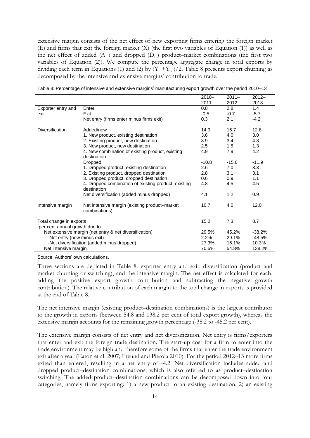extensive margin consists of the net effect of new exporting firms entering the foreign market (E) and firms that exit the foreign market (X) (the first two variables of Equation (1)) as well as the net effect of added  $(A_f)$  and dropped  $(D_f)$  product–market combinations (the first two variables of Equation (2)). We compute the percentage aggregate change in total exports by dividing each term in Equations (1) and (2) by  $(Y_t + Y_{t-1})/2$ . Table 8 presents export churning as decomposed by the intensive and extensive margins' contribution to trade.

|                                |                                                                     | $2010 -$ | $2011 -$ | $2012 -$ |
|--------------------------------|---------------------------------------------------------------------|----------|----------|----------|
|                                |                                                                     | 2011     | 2012     | 2013     |
| Exporter entry and             | Enter                                                               | 0.8      | 2.8      | 1.4      |
| exit                           | Exit                                                                | $-0.5$   | $-0.7$   | $-5.7$   |
|                                | Net entry (firms enter minus firms exit)                            | 0.3      | 2.1      | $-4.2$   |
| Diversification                | Added/new:                                                          | 14.9     | 16.7     | 12.8     |
|                                | 1. New product, existing destination                                | 3.6      | 4.0      | 3.0      |
|                                | 2. Existing product, new destination                                | 3.9      | 3.4      | 4.3      |
|                                | 3. New product, new destination                                     | 2.5      | 1.5      | 1.3      |
|                                | 4. New combination of existing product, existing                    | 4.9      | 7.9      | 4.2      |
|                                | destination                                                         |          |          |          |
|                                | Dropped                                                             | $-10.8$  | $-15.6$  | $-11.9$  |
|                                | 1. Dropped product, existing destination                            | 2.6      | 7.0      | 3.3      |
|                                | 2. Existing product, dropped destination                            | 2.8      | 3.1      | 3.1      |
|                                | 3. Dropped product, dropped destination                             | 0.6      | 0.9      | 1.1      |
|                                | 4. Dropped combination of existing product, existing<br>destination | 4.8      | 4.5      | 4.5      |
|                                | Net diversification (added minus dropped)                           | 4.1      | 1.2      | 0.9      |
| Intensive margin               | Net intensive margin (existing product–market<br>combinations)      | 10.7     | 4.0      | 12.0     |
| Total change in exports        |                                                                     | 15.2     | 7.3      | 8.7      |
| per cent annual growth due to: |                                                                     | 29.5%    | 45.2%    | $-38.2%$ |
|                                | Net extensive margin (net entry & net diversification)              | 2.2%     | 29.1%    | $-48.5%$ |
| -Net entry (new minus exit)    |                                                                     | 27.3%    | 16.1%    | 10.3%    |
|                                | -Net diversification (added minus dropped)                          |          |          |          |
| Net intensive margin           |                                                                     | 70.5%    | 54.8%    | 138.2%   |

| Table 8: Percentage of intensive and extensive margins' manufacturing export growth over the period 2010–13 |  |  |  |
|-------------------------------------------------------------------------------------------------------------|--|--|--|
|                                                                                                             |  |  |  |

Source: Authors' own calculations.

Three sections are depicted in Table 8: exporter entry and exit, diversification (product and market churning or switching), and the intensive margin. The net effect is calculated for each, adding the positive export growth contribution and subtracting the negative growth contribution). The relative contribution of each margin to the total change in exports is provided at the end of Table 8.

The net intensive margin (existing product–destination combinations) is the largest contributor to the growth in exports (between 54.8 and 138.2 per cent of total export growth), whereas the extensive margin accounts for the remaining growth percentage (-38.2 to -45.2 per cent).

The extensive margin consists of net entry and net diversification. Net entry is firms/exporters that enter and exit the foreign trade destination. The start-up cost for a firm to enter into the trade environment may be high and therefore some of the firms that enter the trade environment exit after a year (Eaton et al. 2007; Freund and Pierola 2010). For the period 2012–13 more firms exited than entered, resulting in a net entry of -4.2. Net diversification includes added and dropped product–destination combinations, which is also referred to as product–destination switching. The added product–destination combinations can be decomposed down into four categories, namely firms exporting: 1) a new product to an existing destination, 2) an existing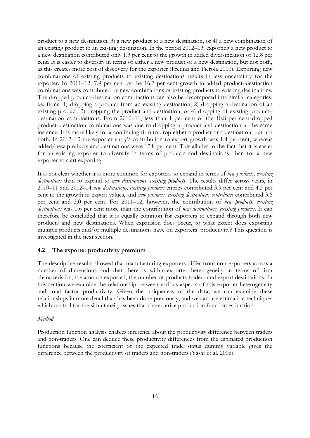product to a new destination, 3) a new product to a new destination, or 4) a new combination of an existing product to an existing destination. In the period 2012–13, exporting a new product to a new destination contributed only 1.3 per cent to the growth in added diversification of 12.8 per cent. It is easier to diversify in terms of either a new product or a new destination, but not both, as this creates more cost of discovery for the exporter (Freund and Pierola 2010). Exporting new combinations of existing products to existing destinations results in less uncertainty for the exporter. In 2011–12, 7.9 per cent of the 16.7 per cent growth in added product–destination combinations was contributed by new combinations of existing products to existing destinations. The dropped product–destination combinations can also be decomposed into similar categories, i.e. firms: 1) dropping a product from an existing destination, 2) dropping a destination of an existing product, 3) dropping the product and destination, or 4) dropping of existing product– destination combinations. From 2010–11, less than 1 per cent of the 10.8 per cent dropped product–destination combinations was due to dropping a product and destination at the same instance. It is more likely for a continuing firm to drop either a product or a destination, but not both. In 2012–13 the exporter entry's contribution to export growth was 1.4 per cent, whereas added/new products and destinations were 12.8 per cent. This alludes to the fact that it is easier for an existing exporter to diversify in terms of products and destinations, than for a new exporter to start exporting.

It is not clear whether it is more common for exporters to expand in terms of *new products, existing destinations* than to expand to *new destinations, existing products*. The results differ across years, in 2010–11 and 2012–14 *new destinations, existing products* entries contributed 3.9 per cent and 4.3 per cent to the growth in export values, and *new products, existing destinations contributes* contributed 3.6 per cent and 3.0 per cent. For 2011–12, however, the contribution of *new products, existing destinations* was 0.6 per cent more than the contribution of *new destinations, existing products*. It can therefore be concluded that it is equally common for exporters to expand through both new products and new destinations. When expansion does occur, to what extent does exporting multiple products and/or multiple destinations have on exporters' productivity? This question is investigated in the next section.

# **4.2 The exporter productivity premium**

The descriptive results showed that manufacturing exporters differ from non-exporters across a number of dimensions and that there is within-exporter heterogeneity in terms of firm characteristics, the amount exported, the number of products traded, and export destinations. In this section we examine the relationship between various aspects of this exporter heterogeneity and total factor productivity. Given the uniqueness of the data, we can examine these relationships in more detail than has been done previously, and we can use estimation techniques which control for the simultaneity issues that characterize production function estimation.

#### *Method*

Production function analysis enables inference about the productivity difference between traders and non-traders. One can deduce these productivity differences from the estimated production functions because the coefficient of the expected trade status dummy variable gives the difference between the productivity of traders and non-traders (Yasar et al. 2006).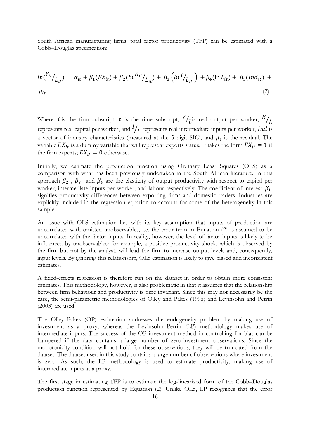South African manufacturing firms' total factor productivity (TFP) can be estimated with a Cobb–Douglas specification:

$$
ln({^{Y_{it}}/_{L_{it}}}) = \alpha_{it} + \beta_1(EX_{it}) + \beta_2(ln^{K_{it}}/_{L_{it}}) + \beta_3(ln^{I}/_{L_{it}}) + \beta_4(ln L_{it}) + \beta_5(Ind_{it}) + \mu_{it}
$$
\n(2)

Where: *i* is the firm subscript, *t* is the time subscript,  $Y$  $\mathcal{N}_{L}$ is real output per worker,  $\mathcal{N}_{L}$ represents real capital per worker, and  $^{I}\!/_{L}$  represents real intermediate inputs per worker, Ind is a vector of industry characteristics (measured at the 5 digit SIC), and  $\mu_i$  is the residual. The variable  $EX_{it}$  is a dummy variable that will represent exports status. It takes the form  $EX_{it} = 1$  if the firm exports;  $EX_{it} = 0$  otherwise.

Initially, we estimate the production function using Ordinary Least Squares (OLS) as a comparison with what has been previously undertaken in the South African literature. In this approach  $\beta_2$ ,  $\beta_3$  and  $\beta_4$  are the elasticity of output productivity with respect to capital per worker, intermediate inputs per worker, and labour respectively. The coefficient of interest,  $\beta_1$ , signifies productivity differences between exporting firms and domestic traders. Industries are explicitly included in the regression equation to account for some of the heterogeneity in this sample.

An issue with OLS estimation lies with its key assumption that inputs of production are uncorrelated with omitted unobservables, i.e. the error term in Equation (2) is assumed to be uncorrelated with the factor inputs. In reality, however, the level of factor inputs is likely to be influenced by unobservables: for example, a positive productivity shock, which is observed by the firm but not by the analyst, will lead the firm to increase output levels and, consequently, input levels. By ignoring this relationship, OLS estimation is likely to give biased and inconsistent estimates.

A fixed-effects regression is therefore run on the dataset in order to obtain more consistent estimates. This methodology, however, is also problematic in that it assumes that the relationship between firm behaviour and productivity is time invariant. Since this may not necessarily be the case, the semi-parametric methodologies of Olley and Pakes (1996) and Levinsohn and Petrin (2003) are used.

The Olley–Pakes (OP) estimation addresses the endogeneity problem by making use of investment as a proxy, whereas the Levinsohn–Petrin (LP) methodology makes use of intermediate inputs. The success of the OP investment method in controlling for bias can be hampered if the data contains a large number of zero-investment observations. Since the monotonicity condition will not hold for these observations, they will be truncated from the dataset. The dataset used in this study contains a large number of observations where investment is zero. As such, the LP methodology is used to estimate productivity, making use of intermediate inputs as a proxy.

The first stage in estimating TFP is to estimate the log-linearized form of the Cobb–Douglas production function represented by Equation (2). Unlike OLS, LP recognizes that the error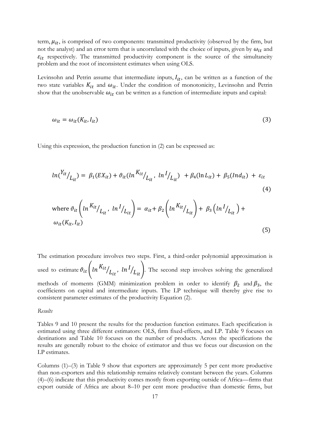term,  $\mu_{it}$ , is comprised of two components: transmitted productivity (observed by the firm, but not the analyst) and an error term that is uncorrelated with the choice of inputs, given by  $\omega_{it}$  and  $\varepsilon_{it}$  respectively. The transmitted productivity component is the source of the simultaneity problem and the root of inconsistent estimates when using OLS.

Levinsohn and Petrin assume that intermediate inputs,  $I_{it}$ , can be written as a function of the two state variables  $K_{it}$  and  $\omega_{it}$ . Under the condition of monotonicity, Levinsohn and Petrin show that the unobservable  $\omega_{it}$  can be written as a function of intermediate inputs and capital:

$$
\omega_{it} = \omega_{it}(K_{it}, I_{it}) \tag{3}
$$

Using this expression, the production function in (2) can be expressed as:

$$
ln({^{Y_{it}}/_{L_{it}}}) = \beta_1(EX_{it}) + \vartheta_{it} (ln{^{K_{it}}/_{L_{it}}}, ln{^{I}/_{L_{it}}}) + \beta_4(ln{L_{it}}) + \beta_5 (Ind_{it}) + \varepsilon_{it}
$$
\n(4)\n
$$
where \ \vartheta_{it} \left( ln{^{K_{it}}/_{L_{it}}}, ln{^{I}/_{L_{it}}}\right) = \alpha_{it} + \beta_2 \left( ln{^{K_{it}}/_{L_{it}}}\right) + \beta_3 \left( ln{^{I}/_{L_{it}}}\right) + \omega_{it}(K_{it}, I_{it})
$$
\n(5)

The estimation procedure involves two steps. First, a third-order polynomial approximation is used to estimate  $\vartheta_{it}\left(ln^{K_{it}}/_{L_{it}}, ln^{I}/_{L_{it}}\right)$ . The second step involves solving the generalized methods of moments (GMM) minimization problem in order to identify  $\beta_2$  and  $\beta_3$ , the coefficients on capital and intermediate inputs. The LP technique will thereby give rise to consistent parameter estimates of the productivity Equation (2).

*Results*

Tables 9 and 10 present the results for the production function estimates. Each specification is estimated using three different estimators: OLS, firm fixed-effects, and LP. Table 9 focuses on destinations and Table 10 focuses on the number of products. Across the specifications the results are generally robust to the choice of estimator and thus we focus our discussion on the LP estimates.

Columns (1)–(3) in Table 9 show that exporters are approximately 5 per cent more productive than non-exporters and this relationship remains relatively constant between the years. Columns (4)–(6) indicate that this productivity comes mostly from exporting outside of Africa—firms that export outside of Africa are about 8–10 per cent more productive than domestic firms, but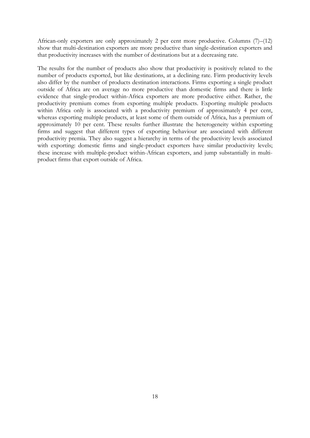African-only exporters are only approximately 2 per cent more productive. Columns (7)–(12) show that multi-destination exporters are more productive than single-destination exporters and that productivity increases with the number of destinations but at a decreasing rate.

The results for the number of products also show that productivity is positively related to the number of products exported, but like destinations, at a declining rate. Firm productivity levels also differ by the number of products destination interactions. Firms exporting a single product outside of Africa are on average no more productive than domestic firms and there is little evidence that single-product within-Africa exporters are more productive either. Rather, the productivity premium comes from exporting multiple products. Exporting multiple products within Africa only is associated with a productivity premium of approximately 4 per cent, whereas exporting multiple products, at least some of them outside of Africa, has a premium of approximately 10 per cent. These results further illustrate the heterogeneity within exporting firms and suggest that different types of exporting behaviour are associated with different productivity premia. They also suggest a hierarchy in terms of the productivity levels associated with exporting: domestic firms and single-product exporters have similar productivity levels; these increase with multiple-product within-African exporters, and jump substantially in multiproduct firms that export outside of Africa.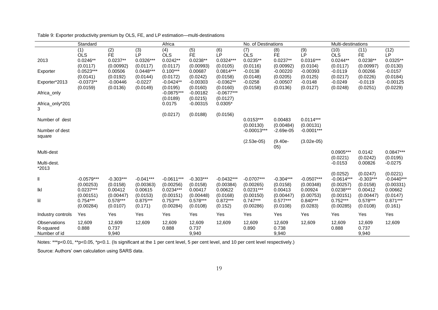|                                           | Standard                             |                                     | Africa                            |                                      |                                     |                                      | No. of Destinations                  |                                     |                                     | Multi-destinations                   |                                     |                                   |
|-------------------------------------------|--------------------------------------|-------------------------------------|-----------------------------------|--------------------------------------|-------------------------------------|--------------------------------------|--------------------------------------|-------------------------------------|-------------------------------------|--------------------------------------|-------------------------------------|-----------------------------------|
|                                           | (1)<br><b>OLS</b>                    | $\overline{(2)}$<br><b>FE</b>       | (3)<br>LP                         | (4)<br><b>OLS</b>                    | (5)<br><b>FE</b>                    | (6)<br>LP                            | (7)<br><b>OLS</b>                    | (8)<br><b>FE</b>                    | (9)<br><b>LP</b>                    | (10)<br><b>OLS</b>                   | (11)<br><b>FE</b>                   | (12)<br><b>LP</b>                 |
| 2013                                      | $0.0246**$<br>(0.0117)               | $0.0237**$<br>(0.00992)             | $0.0326***$<br>(0.0117)           | $0.0242**$<br>(0.0117)               | $0.0238**$<br>(0.00993)             | $0.0324***$<br>(0.0105)              | $0.0235**$<br>(0.0116)               | $0.0237**$<br>(0.00992)             | 0.0316***<br>(0.0104)               | $0.0244**$<br>(0.0117)               | $0.0238**$<br>(0.00997)             | $0.0325**$<br>(0.0130)            |
| Exporter                                  | $0.0523***$<br>(0.0141)              | 0.00506<br>(0.0192)                 | $0.0448***$<br>(0.0144)           | $0.100***$<br>(0.0172)               | 0.00687<br>(0.0242)                 | $0.0814***$<br>(0.0158)              | $-0.0138$<br>(0.0148)                | $-0.00220$<br>(0.0205)              | $-0.00393$<br>(0.0125)              | $-0.0119$<br>(0.0217)                | 0.00266<br>(0.0226)                 | $-0.0157$<br>(0.0184)             |
| Exporter*2013                             | $-0.0373**$                          | $-0.00446$                          | $-0.0227$                         | $-0.0424**$                          | $-0.00303$                          | $-0.0362**$                          | $-0.0258$                            | $-0.00507$                          | $-0.0148$                           | $-0.0249$                            | $-0.0119$                           | $-0.00125$                        |
| Africa_only                               | (0.0159)                             | (0.0136)                            | (0.0149)                          | (0.0195)<br>$-0.0875***$<br>(0.0189) | (0.0160)<br>$-0.00182$<br>(0.0215)  | (0.0160)<br>$-0.0677***$<br>(0.0127) | (0.0158)                             | (0.0136)                            | (0.0127)                            | (0.0248)                             | (0.0251)                            | (0.0229)                          |
| Africa_only*201<br>3                      |                                      |                                     |                                   | 0.0175                               | $-0.00315$                          | $0.0305*$                            |                                      |                                     |                                     |                                      |                                     |                                   |
| Number of dest                            |                                      |                                     |                                   | (0.0217)                             | (0.0188)                            | (0.0156)                             | $0.0153***$<br>(0.00130)             | 0.00483<br>(0.00484)                | $0.0114***$<br>(0.00131)            |                                      |                                     |                                   |
| Number of dest<br>square                  |                                      |                                     |                                   |                                      |                                     |                                      | $-0.00013***$                        | $-2.69e-05$                         | $-0.0001***$                        |                                      |                                     |                                   |
|                                           |                                      |                                     |                                   |                                      |                                     |                                      | $(2.53e-05)$                         | $(9.40e -$<br>05)                   | $(3.02e-05)$                        |                                      |                                     |                                   |
| Multi-dest                                |                                      |                                     |                                   |                                      |                                     |                                      |                                      |                                     |                                     | $0.0905***$<br>(0.0221)              | 0.0142<br>(0.0242)                  | $0.0847***$<br>(0.0195)           |
| Multi-dest.<br>*2013                      |                                      |                                     |                                   |                                      |                                     |                                      |                                      |                                     |                                     | $-0.0153$                            | 0.00826                             | $-0.0275$                         |
| Ш                                         | $-0.0579***$                         | $-0.303***$                         | $-0.041***$                       | $-0.0611***$                         | $-0.303***$                         | $-0.0432***$                         | $-0.0707***$                         | $-0.304***$                         | $-0.0507***$                        | (0.0252)<br>$-0.0614***$             | (0.0247)<br>$-0.303***$             | (0.0221)<br>$-0.0440***$          |
| lkl                                       | (0.00253)<br>$0.0237***$             | (0.0158)<br>0.00412                 | (0.00363)<br>0.00615              | (0.00256)<br>$0.0234***$             | (0.0158)<br>0.00417                 | (0.00384)<br>0.00622                 | (0.00265)<br>$0.0231***$             | (0.0158)<br>0.00413                 | (0.00348)<br>0.00924                | (0.00257)<br>$0.0238***$             | (0.0158)<br>0.00412                 | (0.00331)<br>0.00662              |
| lil                                       | (0.00151)<br>$0.754***$<br>(0.00284) | (0.00447)<br>$0.578***$<br>(0.0107) | (0.0153)<br>$0.875***$<br>(0.171) | (0.00151)<br>$0.753***$<br>(0.00284) | (0.00448)<br>$0.578***$<br>(0.0108) | (0.0168)<br>$0.872***$<br>(0.152)    | (0.00150)<br>$0.747***$<br>(0.00286) | (0.00447)<br>$0.577***$<br>(0.0108) | (0.00753)<br>$0.840***$<br>(0.0283) | (0.00151)<br>$0.752***$<br>(0.00285) | (0.00447)<br>$0.578***$<br>(0.0108) | (0.0147)<br>$0.871***$<br>(0.161) |
| Industry controls                         | Yes                                  | Yes                                 | Yes                               | Yes                                  | Yes                                 | Yes                                  | Yes                                  | Yes                                 | Yes                                 | Yes                                  | Yes                                 | Yes                               |
| Observations<br>R-squared<br>Number of id | 12,609<br>0.888                      | 12,609<br>0.737<br>9,940            | 12,609                            | 12,609<br>0.888                      | 12,609<br>0.737<br>9,940            | 12,609                               | 12,609<br>0.890                      | 12,609<br>0.738<br>9,940            | 12,609                              | 12,609<br>0.888                      | 12,609<br>0.737<br>9,940            | 12,609                            |

Table 9: Exporter productivity premium by OLS, FE, and LP estimation—multi-destinations

Notes: \*\*\*p<0.01, \*\*p<0.05, \*p<0.1. (Is significant at the 1 per cent level, 5 per cent level, and 10 per cent level respectively.)

Source: Authors' own calculation using SARS data.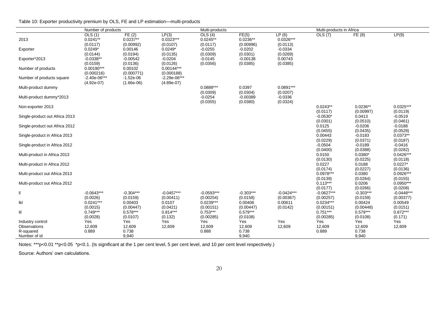|                                | Number of products               |                                  |                                  | Multi-products                   |                                  |                                  | Multi-products in Africa  |                         |                           |
|--------------------------------|----------------------------------|----------------------------------|----------------------------------|----------------------------------|----------------------------------|----------------------------------|---------------------------|-------------------------|---------------------------|
| 2013                           | OLS(1)<br>$0.0241**$<br>(0.0117) | FE(2)<br>$0.0237**$<br>(0.00992) | LP(3)<br>$0.0323***$<br>(0.0107) | OLS(4)<br>$0.0245**$<br>(0.0117) | FE(5)<br>$0.0236**$<br>(0.00996) | LP(6)<br>$0.0326***$<br>(0.0113) | OLS(7)                    | FE(8)                   | LP(9)                     |
| Exporter                       | $0.0249*$<br>(0.0144)            | 0.00146<br>(0.0194)              | $0.0249*$<br>(0.0135)            | $-0.0255$<br>(0.0309)            | $-0.0202$<br>(0.0301)            | $-0.0334$<br>(0.0269)            |                           |                         |                           |
| Exporter*2013                  | $-0.0338**$<br>(0.0159)          | $-0.00542$<br>(0.0136)           | $-0.0204$<br>(0.0126)            | $-0.0145$<br>(0.0356)            | $-0.00138$<br>(0.0385)           | 0.00743<br>(0.0385)              |                           |                         |                           |
| Number of products             | $0.00190***$<br>(0.000216)       | 0.00102<br>(0.000771)            | $0.00144***$<br>(0.000188)       |                                  |                                  |                                  |                           |                         |                           |
| Number of products square      | $-2.40e-06***$<br>$(4.92e-07)$   | $-1.52e-06$<br>$(1.66e-06)$      | $-2.29e-06***$<br>$(4.89e-07)$   |                                  |                                  |                                  |                           |                         |                           |
| Multi-product dummy            |                                  |                                  |                                  | 0.0888***<br>(0.0309)            | 0.0397<br>(0.0304)               | $0.0891***$<br>(0.0207)          |                           |                         |                           |
| Multi-product dummy*2013       |                                  |                                  |                                  | $-0.0254$<br>(0.0355)            | $-0.00389$<br>(0.0380)           | $-0.0336$<br>(0.0324)            |                           |                         |                           |
| Non-exporter 2013              |                                  |                                  |                                  |                                  |                                  |                                  | $0.0243**$<br>(0.0117)    | $0.0236**$<br>(0.00997) | $0.0325***$<br>(0.0119)   |
| Single-product out Africa 2013 |                                  |                                  |                                  |                                  |                                  |                                  | $-0.0530*$<br>(0.0301)    | 0.0413<br>(0.0510)      | $-0.0519$<br>(0.0461)     |
| Single-product out Africa 2012 |                                  |                                  |                                  |                                  |                                  |                                  | 0.0125<br>(0.0455)        | $-0.0206$<br>(0.0435)   | $-0.0188$<br>(0.0528)     |
| Single-product in Africa 2013  |                                  |                                  |                                  |                                  |                                  |                                  | 0.00443<br>(0.0229)       | $-0.0183$<br>(0.0371)   | $0.0373**$<br>(0.0187)    |
| Single-product in Africa 2012  |                                  |                                  |                                  |                                  |                                  |                                  | $-0.0504$<br>(0.0400)     | $-0.0189$<br>(0.0388)   | $-0.0416$<br>(0.0282)     |
| Multi-product in Africa 2013   |                                  |                                  |                                  |                                  |                                  |                                  | 0.0150<br>(0.0130)        | $0.0380*$<br>(0.0225)   | $0.0426***$<br>(0.0118)   |
| Multi-product in Africa 2012   |                                  |                                  |                                  |                                  |                                  |                                  | 0.0227<br>(0.0174)        | 0.0188<br>(0.0227)      | $0.0227*$<br>(0.0136)     |
| Multi-product out Africa 2013  |                                  |                                  |                                  |                                  |                                  |                                  | $0.0978***$<br>(0.0139)   | 0.0380<br>(0.0264)      | $0.0926***$<br>(0.0155)   |
| Multi-product out Africa 2012  |                                  |                                  |                                  |                                  |                                  |                                  | $0.113***$<br>(0.0177)    | 0.0206<br>(0.0266)      | $0.0950***$<br>(0.0208)   |
| Ш                              | $-0.0643***$<br>(0.0026)         | $-0.304***$<br>(0.0159)          | $-0.0457***$<br>(0.00411)        | $-0.0593***$<br>(0.00254)        | $-0.303***$<br>(0.0158)          | $-0.0424***$<br>(0.00367)        | $-0.0627***$<br>(0.00257) | $-0.303***$<br>(0.0159) | $-0.0448***$<br>(0.00377) |
| lkl                            | $0.0241***$<br>(0.0015)          | 0.00403<br>(0.00447)             | 0.0107<br>(0.0421)               | $0.0239***$<br>(0.00151)         | 0.00406<br>(0.00447)             | 0.00611<br>(0.0142)              | $0.0234***$<br>(0.00151)  | 0.00424<br>(0.00448)    | 0.00549<br>(0.0151)       |
| lil                            | $0.749***$<br>(0.0028)           | $0.578***$<br>(0.0107)           | $0.814***$<br>(0.132)            | $0.753***$<br>(0.00285)          | $0.579***$<br>(0.0108)           |                                  | $0.751***$<br>(0.00285)   | $0.579***$<br>(0.0108)  | $0.872***$<br>(0.171)     |
| Industry control               | Yes                              | Yes                              | Yes                              | Yes                              | Yes                              | Yes                              | Yes                       | Yes                     | Yes                       |
| Observations<br>R-squared      | 12,609<br>0.889                  | 12,609<br>0.738                  | 12,609                           | 12,609<br>0.888                  | 12,609<br>0.738                  | 12,609                           | 12,609<br>0.889           | 12,609<br>0.738         | 12,609                    |
| Number of id                   |                                  | 9,940                            |                                  |                                  | 9,940                            |                                  |                           | 9,940                   |                           |

 $\overline{\phantom{0}}$ 

Notes: \*\*\*p<0.01 \*\*p<0.05 \*p<0.1. (Is significant at the 1 per cent level, 5 per cent level, and 10 per cent level respectively.)

Source: Authors' own calculations.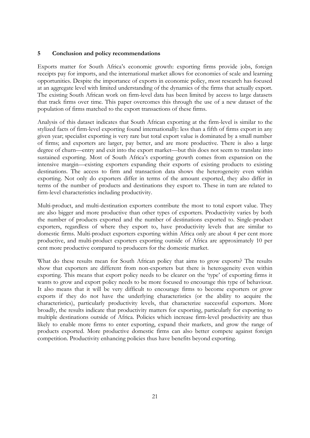## **5 Conclusion and policy recommendations**

Exports matter for South Africa's economic growth: exporting firms provide jobs, foreign receipts pay for imports, and the international market allows for economies of scale and learning opportunities. Despite the importance of exports in economic policy, most research has focused at an aggregate level with limited understanding of the dynamics of the firms that actually export. The existing South African work on firm-level data has been limited by access to large datasets that track firms over time. This paper overcomes this through the use of a new dataset of the population of firms matched to the export transactions of these firms.

Analysis of this dataset indicates that South African exporting at the firm-level is similar to the stylized facts of firm-level exporting found internationally: less than a fifth of firms export in any given year; specialist exporting is very rare but total export value is dominated by a small number of firms; and exporters are larger, pay better, and are more productive. There is also a large degree of churn—entry and exit into the export market—but this does not seem to translate into sustained exporting. Most of South Africa's exporting growth comes from expansion on the intensive margin—existing exporters expanding their exports of existing products to existing destinations. The access to firm and transaction data shows the heterogeneity even within exporting. Not only do exporters differ in terms of the amount exported, they also differ in terms of the number of products and destinations they export to. These in turn are related to firm-level characteristics including productivity.

Multi-product, and multi-destination exporters contribute the most to total export value. They are also bigger and more productive than other types of exporters. Productivity varies by both the number of products exported and the number of destinations exported to. Single-product exporters, regardless of where they export to, have productivity levels that are similar to domestic firms. Multi-product exporters exporting within Africa only are about 4 per cent more productive, and multi-product exporters exporting outside of Africa are approximately 10 per cent more productive compared to producers for the domestic market.

What do these results mean for South African policy that aims to grow exports? The results show that exporters are different from non-exporters but there is heterogeneity even within exporting. This means that export policy needs to be clearer on the 'type' of exporting firms it wants to grow and export policy needs to be more focused to encourage this type of behaviour. It also means that it will be very difficult to encourage firms to become exporters or grow exports if they do not have the underlying characteristics (or the ability to acquire the characteristics), particularly productivity levels, that characterize successful exporters. More broadly, the results indicate that productivity matters for exporting, particularly for exporting to multiple destinations outside of Africa. Policies which increase firm-level productivity are thus likely to enable more firms to enter exporting, expand their markets, and grow the range of products exported. More productive domestic firms can also better compete against foreign competition. Productivity enhancing policies thus have benefits beyond exporting.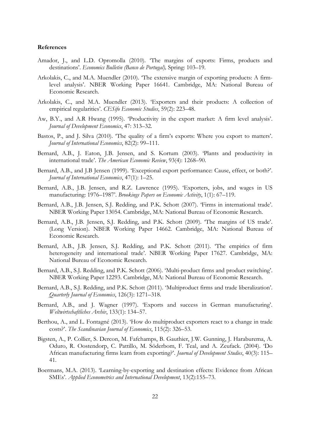#### **References**

- Amador, J., and L.D. Opromolla (2010). 'The margins of exports: Firms, products and destinations'. *Economics Bulletin (Banco de Portugal),* Spring: 103–19.
- Arkolakis, C., and M.A. Muendler (2010). 'The extensive margin of exporting products: A firmlevel analysis'. NBER Working Paper 16641. Cambridge, MA: National Bureau of Economic Research.
- Arkolakis, C., and M.A. Muendler (2013). 'Exporters and their products: A collection of empirical regularities'. *CESifo Economic Studies*, 59(2): 223–48.
- Aw, B.Y., and A.R Hwang (1995). 'Productivity in the export market: A firm level analysis'. *Journal of Development Economics*, 47: 313–32.
- Bastos, P., and J. Silva (2010). 'The quality of a firm's exports: Where you export to matters'. *Journal of International Economics*, 82(2): 99–111.
- Bernard, A.B., J. Eaton, J.B. Jensen, and S. Kortum (2003). 'Plants and productivity in international trade'. *The American Economic Review*, 93(4): 1268–90.
- Bernard, A.B., and J.B Jensen (1999). 'Exceptional export performance: Cause, effect, or both?'. *Journal of International Economics*, 47(1): 1–25.
- Bernard, A.B., J.B. Jensen, and R.Z. Lawrence (1995). 'Exporters, jobs, and wages in US manufacturing: 1976–1987'. *Brookings Papers on Economic Activity*, 1(1): 67–119.
- Bernard, A.B., J.B. Jensen, S.J. Redding, and P.K. Schott (2007). 'Firms in international trade'. NBER Working Paper 13054. Cambridge, MA: National Bureau of Economic Research.
- Bernard, A.B., J.B. Jensen, S.J. Redding, and P.K. Schott (2009). 'The margins of US trade'. (Long Version). NBER Working Paper 14662. Cambridge, MA: National Bureau of Economic Research.
- Bernard, A.B., J.B. Jensen, S.J. Redding, and P.K. Schott (2011). 'The empirics of firm heterogeneity and international trade'. NBER Working Paper 17627. Cambridge, MA: National Bureau of Economic Research.
- Bernard, A.B., S.J. Redding, and P.K. Schott (2006). 'Multi-product firms and product switching'. NBER Working Paper 12293. Cambridge, MA: National Bureau of Economic Research.
- Bernard, A.B., S.J. Redding, and P.K. Schott (2011). 'Multiproduct firms and trade liberalization'. *Quarterly Journal of Economics*, 126(3): 1271–318.
- Bernard, A.B., and J. Wagner (1997). 'Exports and success in German manufacturing'. *Weltwirtschaftliches Archiv*, 133(1): 134–57.
- Berthou, A., and L. Fontagné (2013). 'How do multiproduct exporters react to a change in trade costs?'. *The Scandinavian Journal of Economics*, 115(2): 326–53.
- Bigsten, A., P. Collier, S. Dercon, M. Fafchamps, B. Gauthier, J.W. Gunning, J. Haraburema, A. Oduro, R. Oostendorp, C. Pattillo, M. Söderbom, F. Teal, and A. Zeufack. (2004). 'Do African manufacturing firms learn from exporting?'. *Journal of Development Studies*, 40(3): 115– 41.
- Boermans, M.A. (2013). 'Learning-by-exporting and destination effects: Evidence from African SMEs'. *Applied Econometrics and International Development*, 13(2):155–73.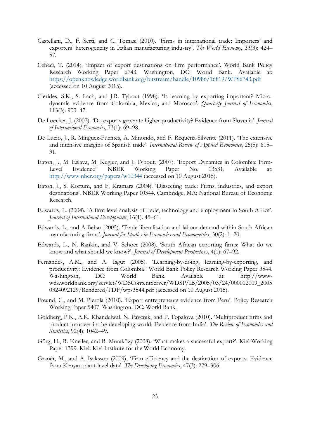- Castellani, D., F. Serti, and C. Tomasi (2010). 'Firms in international trade: Importers' and exporters' heterogeneity in Italian manufacturing industry'. *The World Economy*, 33(3): 424– 57.
- Cebeci, T. (2014). 'Impact of export destinations on firm performance'. World Bank Policy Research Working Paper 6743. Washington, DC: World Bank. Available at: <https://openknowledge.worldbank.org/bitstream/handle/10986/16819/WPS6743.pdf> (accessed on 10 August 2015).
- Clerides, S.K., S. Lach, and J.R. Tybout (1998). 'Is learning by exporting important? Microdynamic evidence from Colombia, Mexico, and Morocco'. *Quarterly Journal of Economics*, 113(3): 903–47.
- De Loecker, J. (2007). 'Do exports generate higher productivity? Evidence from Slovenia'. *Journal of International Economics*, 73(1): 69–98.
- De Lucio, J., R. Mínguez-Fuentes, A. Minondo, and F. Requena-Silvente (2011). 'The extensive and intensive margins of Spanish trade'. *International Review of Applied Economics*, 25(5): 615– 31.
- Eaton, J., M. Eslava, M. Kugler, and J. Tybout. (2007). 'Export Dynamics in Colombia: Firm-Level Evidence'. NBER Working Paper No. 13531. Available at: <http://www.nber.org/papers/w10344> (accessed on 10 August 2015).
- Eaton, J., S. Kortum, and F. Kramarz (2004). 'Dissecting trade: Firms, industries, and export destinations'. NBER Working Paper 10344. Cambridge, MA: National Bureau of Economic Research.
- Edwards, L. (2004). 'A firm level analysis of trade, technology and employment in South Africa'. *Journal of International Development*, 16(1): 45–61.
- Edwards, L., and A Behar (2005). 'Trade liberalisation and labour demand within South African manufacturing firms'. *Journal for Studies in Economics and Econometrics*, 30(2): 1–20.
- Edwards, L., N. Rankin, and V. Schöer (2008). 'South African exporting firms: What do we know and what should we know?'. *Journal of Development Perspectives*, 4(1): 67–92.
- Fernandes, A.M., and A. Isgut (2005). 'Learning-by-doing, learning-by-exporting, and productivity: Evidence from Colombia'. World Bank Policy Research Working Paper 3544. Washington, DC: World Bank. Available at: http://wwwwds.worldbank.org/servlet/WDSContentServer/WDSP/IB/2005/03/24/000012009\_2005 0324092129/Rendered/PDF/wps3544.pdf (accessed on 10 August 2015).
- Freund, C., and M. Pierola (2010). 'Export entrepreneurs evidence from Peru'. Policy Research Working Paper 5407. Washington, DC: World Bank.
- Goldberg, P.K., A.K. Khandelwal, N. Pavcnik, and P. Topalova (2010). 'Multiproduct firms and product turnover in the developing world: Evidence from India'. *The Review of Economics and Statistics*, 92(4): 1042–49.
- Görg, H., R. Kneller, and B. Muraközy (2008). 'What makes a successful export?'. Kiel Working Paper 1399. Kiel: Kiel Institute for the World Economy.
- Granér, M., and A. Isaksson (2009). 'Firm efficiency and the destination of exports: Evidence from Kenyan plant-level data'. *The Developing Economies*, 47(3): 279–306.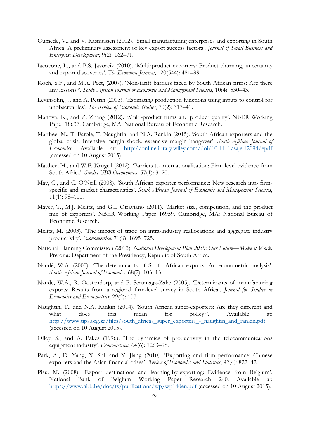- Gumede, V., and V. Rasmussen (2002). 'Small manufacturing enterprises and exporting in South Africa: A preliminary assessment of key export success factors'. *Journal of Small Business and Enterprise Development*, 9(2): 162–71.
- Iacovone, L., and B.S. Javorcik (2010). 'Multi‐product exporters: Product churning, uncertainty and export discoveries'. *The Economic Journal*, 120(544): 481–99.
- Koch, S.F., and M.A. Peet, (2007). 'Non-tariff barriers faced by South African firms: Are there any lessons?'. *South African Journal of Economic and Management Sciences*, 10(4): 530–43.
- Levinsohn, J., and A. Petrin (2003). 'Estimating production functions using inputs to control for unobservables'. *The Review of Economic Studies*, 70(2): 317–41.
- Manova, K., and Z. Zhang (2012). 'Multi-product firms and product quality'. NBER Working Paper 18637. Cambridge, MA: National Bureau of Economic Research.
- Matthee, M., T. Farole, T. Naughtin, and N.A. Rankin (2015). 'South African exporters and the global crisis: Intensive margin shock, extensive margin hangover'. *South African Journal of Economics*. Available at: <http://onlinelibrary.wiley.com/doi/10.1111/saje.12094/epdf> (accessed on 10 August 2015).
- Matthee, M., and W.F. Krugell (2012). 'Barriers to internationalisation: Firm-level evidence from South Africa'. *Studia UBB Oeconomica*, 57(1): 3–20.
- May, C., and C. O'Neill (2008). 'South African exporter performance: New research into firmspecific and market characteristics'. *South African Journal of Economic and Management Sciences*, 11(1): 98–111.
- Mayer, T., M.J. Melitz, and G.I. Ottaviano (2011). 'Market size, competition, and the product mix of exporters'. NBER Working Paper 16959. Cambridge, MA: National Bureau of Economic Research.
- Melitz, M. (2003). 'The impact of trade on intra-industry reallocations and aggregate industry productivity'. *Econometrica*, 71(6): 1695–725.
- National Planning Commission (2013). *National Development Plan 2030: Our Future—Make it Work.* Pretoria: Department of the Presidency, Republic of South Africa.
- Naudé, W.A. (2000). 'The determinants of South African exports: An econometric analysis'. *South African Journal of Economics*, 68(2): 103–13.
- Naudé, W.A., R. Oostendorp, and P. Serumaga-Zake (2005). 'Determinants of manufacturing exports: Results from a regional firm-level survey in South Africa'. *Journal for Studies in Economics and Econometrics*, 29(2): 107.
- Naughtin, T., and N.A. Rankin (2014). 'South African super-exporters: Are they different and what does this mean for policy?'. Available at: [http://www.tips.org.za/files/south\\_africas\\_super\\_exporters\\_-\\_naughtin\\_and\\_rankin.pdf](http://www.tips.org.za/files/south_africas_super_exporters_-_naughtin_and_rankin.pdf) (accessed on 10 August 2015).
- Olley, S., and A. Pakes (1996). 'The dynamics of productivity in the telecommunications equipment industry'. *Econometrica*, 64(6): 1263–98.
- Park, A., D. Yang, X. Shi, and Y. Jiang (2010). 'Exporting and firm performance: Chinese exporters and the Asian financial crises'. *Review of Economics and Statistics*, 92(4): 822–42.
- Pisu, M. (2008). 'Export destinations and learning-by-exporting: Evidence from Belgium'. National Bank of Belgium Working Paper Research 240. Available at: <https://www.nbb.be/doc/ts/publications/wp/wp140en.pdf> (accessed on 10 August 2015).